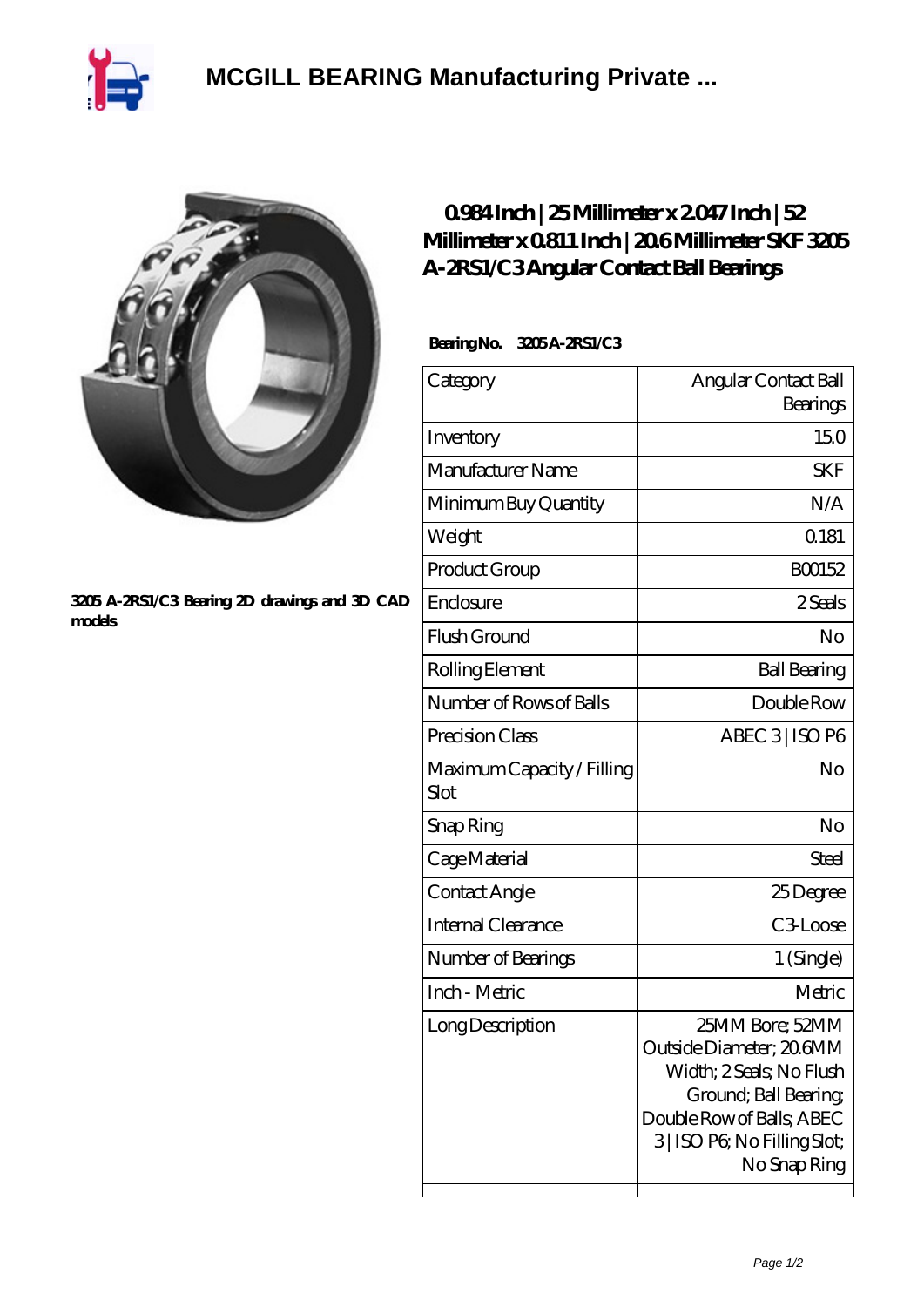

## **[MCGILL BEARING Manufacturing Private ...](https://plaschner.de)**

## **[3205 A-2RS1/C3 Bearing 2D drawings and 3D CAD](https://plaschner.de/pic-209280.html) [models](https://plaschner.de/pic-209280.html)**

## **[0.984 Inch | 25 Millimeter x 2.047 Inch | 52](https://plaschner.de/am-209280-skf-3205-a-2rs1-c3-angular-contact-ball-bearings.html) [Millimeter x 0.811 Inch | 20.6 Millimeter SKF 3205](https://plaschner.de/am-209280-skf-3205-a-2rs1-c3-angular-contact-ball-bearings.html) [A-2RS1/C3 Angular Contact Ball Bearings](https://plaschner.de/am-209280-skf-3205-a-2rs1-c3-angular-contact-ball-bearings.html)**

 **Bearing No. 3205 A-2RS1/C3**

| Category                           | Angular Contact Ball<br>Bearings                                                                                                                                             |
|------------------------------------|------------------------------------------------------------------------------------------------------------------------------------------------------------------------------|
| Inventory                          | 150                                                                                                                                                                          |
| Manufacturer Name                  | <b>SKF</b>                                                                                                                                                                   |
| Minimum Buy Quantity               | N/A                                                                                                                                                                          |
| Weight                             | Q181                                                                                                                                                                         |
| Product Group                      | BO0152                                                                                                                                                                       |
| Enclosure                          | 2 Seals                                                                                                                                                                      |
| Flush Ground                       | No                                                                                                                                                                           |
| Rolling Element                    | <b>Ball Bearing</b>                                                                                                                                                          |
| Number of Rows of Balls            | Double Row                                                                                                                                                                   |
| Precision Class                    | ABEC 3 ISO P6                                                                                                                                                                |
| Maximum Capacity / Filling<br>Slot | No                                                                                                                                                                           |
| Snap Ring                          | No                                                                                                                                                                           |
| Cage Material                      | Steel                                                                                                                                                                        |
| Contact Angle                      | 25Degree                                                                                                                                                                     |
| Internal Clearance                 | C3Loose                                                                                                                                                                      |
| Number of Bearings                 | 1 (Single)                                                                                                                                                                   |
| Inch - Metric                      | Metric                                                                                                                                                                       |
| Long Description                   | 25MM Bore; 52MM<br>Outside Diameter; 206MM<br>Width; 2 Seals; No Flush<br>Ground; Ball Bearing;<br>Double Row of Balls, ABEC<br>3   ISO P6; No Filling Slot;<br>No Snap Ring |